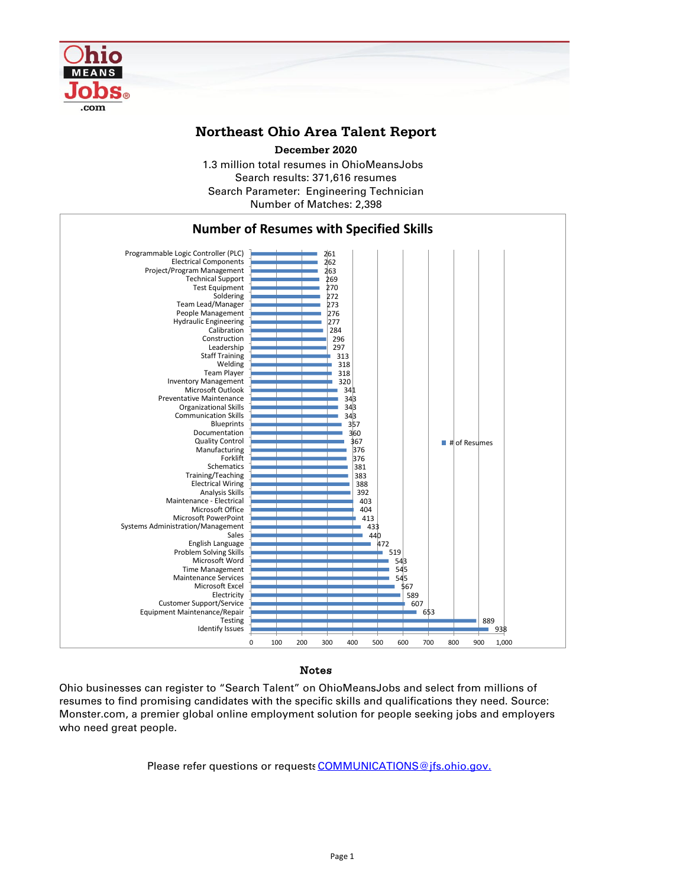

## **Northeast Ohio Area Talent Report**

1.3 million total resumes in OhioMeansJobs Search results: 371,616 resumes Number of Matches: 2,398 Search Parameter: Engineering Technician **December 2020**



### Notes

Ohio businesses can register to "Search Talent" on OhioMeansJobs and select from millions of resumes to find promising candidates with the specific skills and qualifications they need. Source: Monster.com, a premier global online employment solution for people seeking jobs and employers who need great people.

Please refer questions or requests [COMMUNICATIONS@jfs.ohio.gov.](mailto:COMMUNICATIONS@jfs.ohio.gov.)